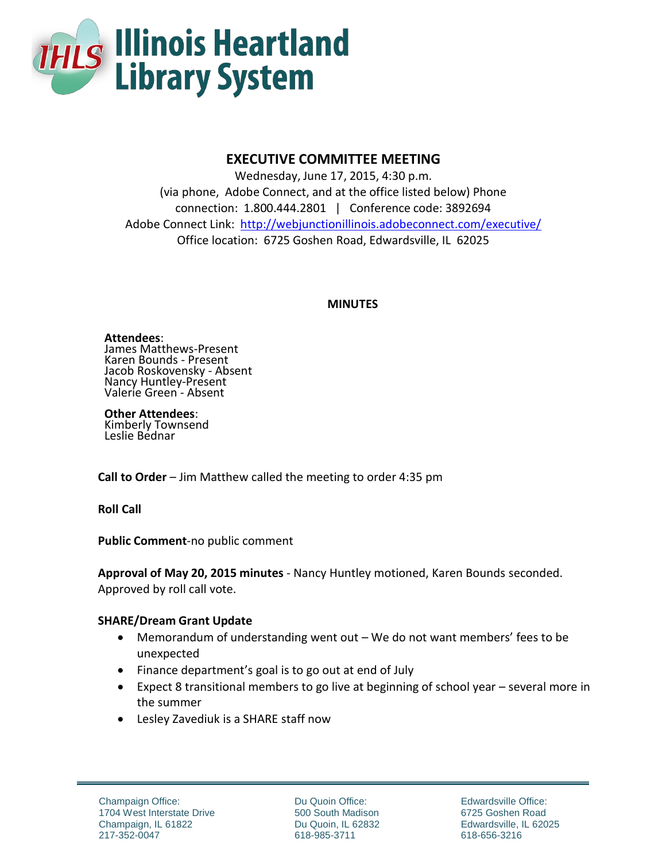

# **EXECUTIVE COMMITTEE MEETING**

Wednesday, June 17, 2015, 4:30 p.m. (via phone, Adobe Connect, and at the office listed below) Phone connection: 1.800.444.2801 | Conference code: 3892694 Adobe Connect Link: <http://webjunctionillinois.adobeconnect.com/executive/> Office location: 6725 Goshen Road, Edwardsville, IL 62025

#### **MINUTES**

**Attendees**: James Matthews-Present Karen Bounds - Present Jacob Roskovensky - Absent Nancy Huntley-Present Valerie Green - Absent

**Other Attendees**: Kimberly Townsend Leslie Bednar

**Call to Order** – Jim Matthew called the meeting to order 4:35 pm

**Roll Call**

**Public Comment**-no public comment

**Approval of May 20, 2015 minutes** - Nancy Huntley motioned, Karen Bounds seconded. Approved by roll call vote.

# **SHARE/Dream Grant Update**

- Memorandum of understanding went out We do not want members' fees to be unexpected
- Finance department's goal is to go out at end of July
- Expect 8 transitional members to go live at beginning of school year several more in the summer
- Lesley Zavediuk is a SHARE staff now

Du Quoin Office: 500 South Madison Du Quoin, IL 62832 618-985-3711

Edwardsville Office: 6725 Goshen Road Edwardsville, IL 62025 618-656-3216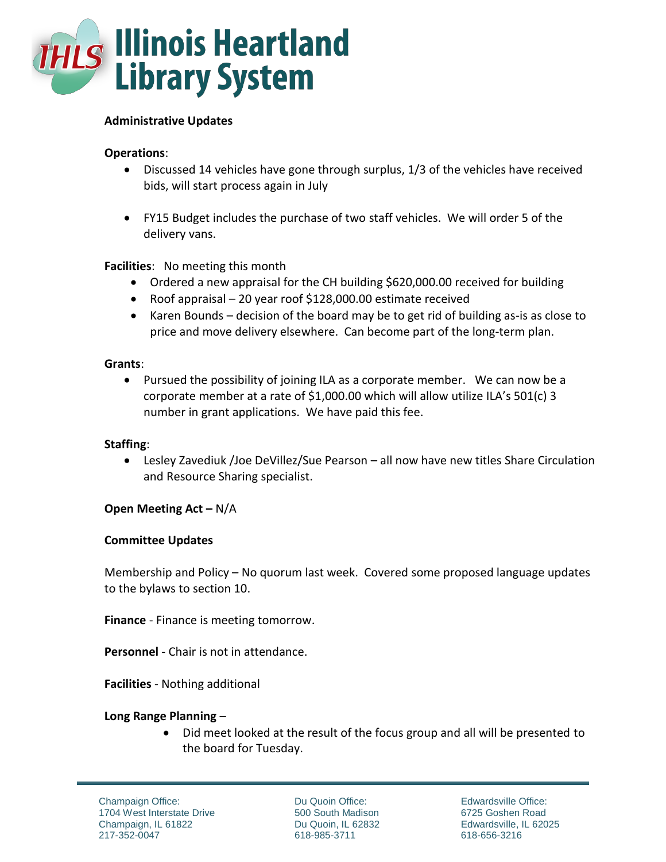

#### **Administrative Updates**

## **Operations**:

- Discussed 14 vehicles have gone through surplus, 1/3 of the vehicles have received bids, will start process again in July
- FY15 Budget includes the purchase of two staff vehicles. We will order 5 of the delivery vans.

## **Facilities**: No meeting this month

- Ordered a new appraisal for the CH building \$620,000.00 received for building
- Roof appraisal 20 year roof \$128,000.00 estimate received
- Karen Bounds decision of the board may be to get rid of building as-is as close to price and move delivery elsewhere. Can become part of the long-term plan.

#### **Grants**:

 Pursued the possibility of joining ILA as a corporate member. We can now be a corporate member at a rate of \$1,000.00 which will allow utilize ILA's 501(c) 3 number in grant applications. We have paid this fee.

#### **Staffing**:

 Lesley Zavediuk /Joe DeVillez/Sue Pearson – all now have new titles Share Circulation and Resource Sharing specialist.

#### **Open Meeting Act –** N/A

#### **Committee Updates**

Membership and Policy – No quorum last week. Covered some proposed language updates to the bylaws to section 10.

**Finance** - Finance is meeting tomorrow.

**Personnel** - Chair is not in attendance.

**Facilities** - Nothing additional

#### **Long Range Planning** –

 Did meet looked at the result of the focus group and all will be presented to the board for Tuesday.

Champaign Office: 1704 West Interstate Drive Champaign, IL 61822 217-352-0047

Du Quoin Office: 500 South Madison Du Quoin, IL 62832 618-985-3711

Edwardsville Office: 6725 Goshen Road Edwardsville, IL 62025 618-656-3216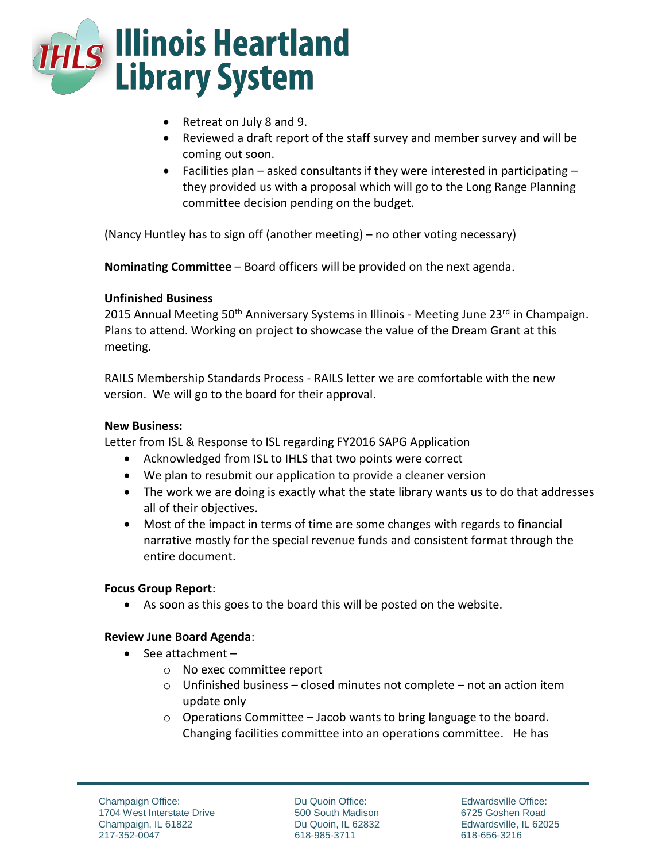

- Retreat on July 8 and 9.
- Reviewed a draft report of the staff survey and member survey and will be coming out soon.
- Facilities plan asked consultants if they were interested in participating they provided us with a proposal which will go to the Long Range Planning committee decision pending on the budget.

(Nancy Huntley has to sign off (another meeting) – no other voting necessary)

**Nominating Committee** – Board officers will be provided on the next agenda.

#### **Unfinished Business**

2015 Annual Meeting 50<sup>th</sup> Anniversary Systems in Illinois - Meeting June 23<sup>rd</sup> in Champaign. Plans to attend. Working on project to showcase the value of the Dream Grant at this meeting.

RAILS Membership Standards Process - RAILS letter we are comfortable with the new version. We will go to the board for their approval.

#### **New Business:**

Letter from ISL & Response to ISL regarding FY2016 SAPG Application

- Acknowledged from ISL to IHLS that two points were correct
- We plan to resubmit our application to provide a cleaner version
- The work we are doing is exactly what the state library wants us to do that addresses all of their objectives.
- Most of the impact in terms of time are some changes with regards to financial narrative mostly for the special revenue funds and consistent format through the entire document.

# **Focus Group Report**:

As soon as this goes to the board this will be posted on the website.

#### **Review June Board Agenda**:

- $\bullet$  See attachment
	- o No exec committee report
	- $\circ$  Unfinished business closed minutes not complete not an action item update only
	- o Operations Committee Jacob wants to bring language to the board. Changing facilities committee into an operations committee. He has

Du Quoin Office: 500 South Madison Du Quoin, IL 62832 618-985-3711